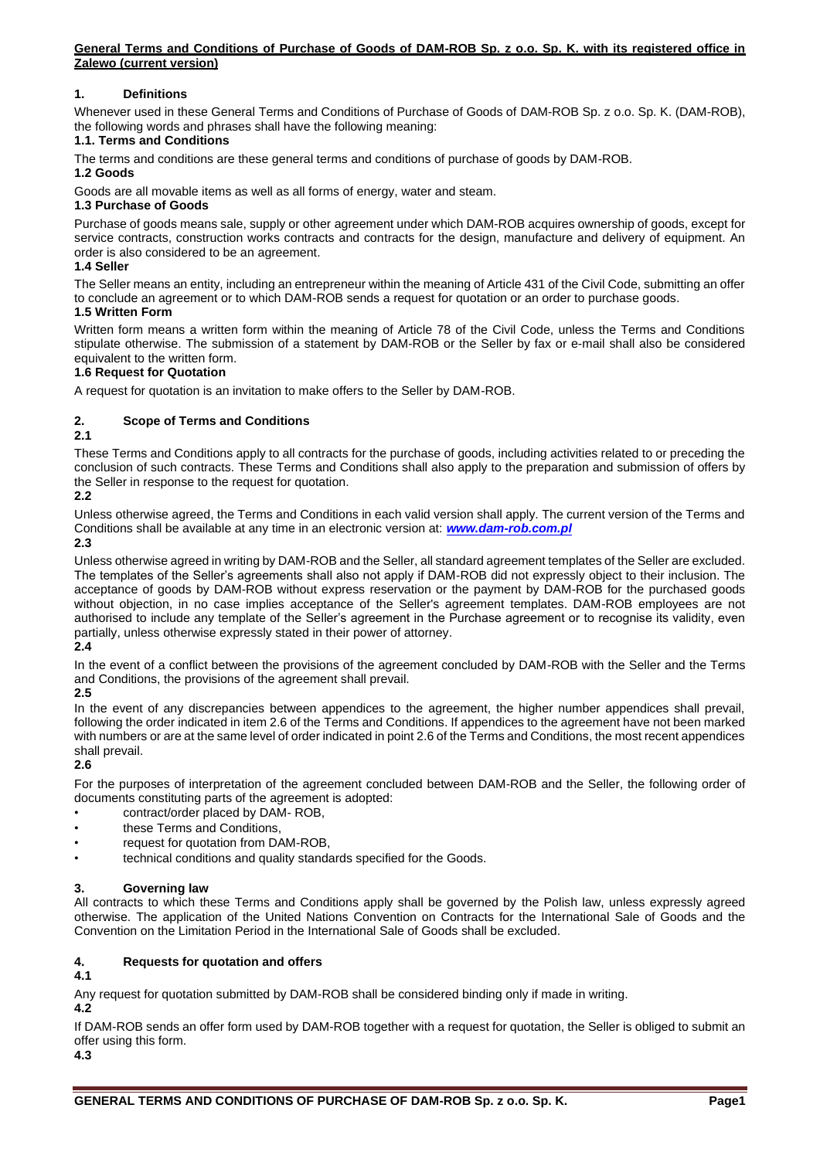## **1. Definitions**

Whenever used in these General Terms and Conditions of Purchase of Goods of DAM-ROB Sp. z o.o. Sp. K. (DAM-ROB), the following words and phrases shall have the following meaning:

#### **1.1. Terms and Conditions**

The terms and conditions are these general terms and conditions of purchase of goods by DAM-ROB.

## **1.2 Goods**

Goods are all movable items as well as all forms of energy, water and steam.

## **1.3 Purchase of Goods**

Purchase of goods means sale, supply or other agreement under which DAM-ROB acquires ownership of goods, except for service contracts, construction works contracts and contracts for the design, manufacture and delivery of equipment. An order is also considered to be an agreement.

### **1.4 Seller**

The Seller means an entity, including an entrepreneur within the meaning of Article 431 of the Civil Code, submitting an offer to conclude an agreement or to which DAM-ROB sends a request for quotation or an order to purchase goods. **1.5 Written Form**

Written form means a written form within the meaning of Article 78 of the Civil Code, unless the Terms and Conditions stipulate otherwise. The submission of a statement by DAM-ROB or the Seller by fax or e-mail shall also be considered equivalent to the written form.

#### **1.6 Request for Quotation**

A request for quotation is an invitation to make offers to the Seller by DAM-ROB.

## **2. Scope of Terms and Conditions**

#### **2.1**

These Terms and Conditions apply to all contracts for the purchase of goods, including activities related to or preceding the conclusion of such contracts. These Terms and Conditions shall also apply to the preparation and submission of offers by the Seller in response to the request for quotation.

## **2.2**

Unless otherwise agreed, the Terms and Conditions in each valid version shall apply. The current version of the Terms and Conditions shall be available at any time in an electronic version at: *[www.dam-rob.com.pl](http://www.dam-rob.com.pl/)*

#### **2.3**

Unless otherwise agreed in writing by DAM-ROB and the Seller, all standard agreement templates of the Seller are excluded. The templates of the Seller's agreements shall also not apply if DAM-ROB did not expressly object to their inclusion. The acceptance of goods by DAM-ROB without express reservation or the payment by DAM-ROB for the purchased goods without objection, in no case implies acceptance of the Seller's agreement templates. DAM-ROB employees are not authorised to include any template of the Seller's agreement in the Purchase agreement or to recognise its validity, even partially, unless otherwise expressly stated in their power of attorney.

## **2.4**

In the event of a conflict between the provisions of the agreement concluded by DAM-ROB with the Seller and the Terms and Conditions, the provisions of the agreement shall prevail.

### **2.5**

In the event of any discrepancies between appendices to the agreement, the higher number appendices shall prevail, following the order indicated in item 2.6 of the Terms and Conditions. If appendices to the agreement have not been marked with numbers or are at the same level of order indicated in point 2.6 of the Terms and Conditions, the most recent appendices shall prevail.

## **2.6**

For the purposes of interpretation of the agreement concluded between DAM-ROB and the Seller, the following order of documents constituting parts of the agreement is adopted:

- contract/order placed by DAM- ROB,
- these Terms and Conditions,
- request for quotation from DAM-ROB,
- technical conditions and quality standards specified for the Goods.

## **3. Governing law**

All contracts to which these Terms and Conditions apply shall be governed by the Polish law, unless expressly agreed otherwise. The application of the United Nations Convention on Contracts for the International Sale of Goods and the Convention on the Limitation Period in the International Sale of Goods shall be excluded.

## **4. Requests for quotation and offers**

## **4.1**

Any request for quotation submitted by DAM-ROB shall be considered binding only if made in writing.

**4.2**

If DAM-ROB sends an offer form used by DAM-ROB together with a request for quotation, the Seller is obliged to submit an offer using this form.

**4.3**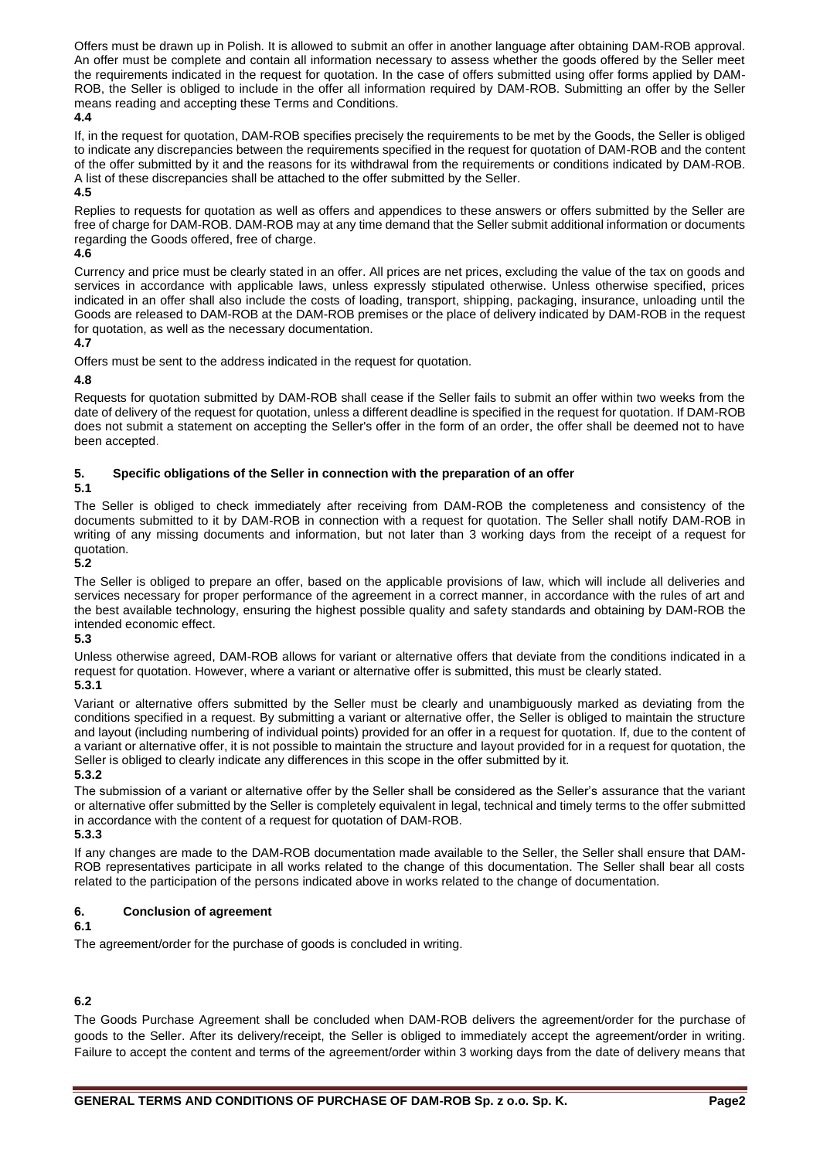Offers must be drawn up in Polish. It is allowed to submit an offer in another language after obtaining DAM-ROB approval. An offer must be complete and contain all information necessary to assess whether the goods offered by the Seller meet the requirements indicated in the request for quotation. In the case of offers submitted using offer forms applied by DAM-ROB, the Seller is obliged to include in the offer all information required by DAM-ROB. Submitting an offer by the Seller means reading and accepting these Terms and Conditions.

### **4.4**

If, in the request for quotation, DAM-ROB specifies precisely the requirements to be met by the Goods, the Seller is obliged to indicate any discrepancies between the requirements specified in the request for quotation of DAM-ROB and the content of the offer submitted by it and the reasons for its withdrawal from the requirements or conditions indicated by DAM-ROB. A list of these discrepancies shall be attached to the offer submitted by the Seller.

## **4.5**

Replies to requests for quotation as well as offers and appendices to these answers or offers submitted by the Seller are free of charge for DAM-ROB. DAM-ROB may at any time demand that the Seller submit additional information or documents regarding the Goods offered, free of charge.

## **4.6**

Currency and price must be clearly stated in an offer. All prices are net prices, excluding the value of the tax on goods and services in accordance with applicable laws, unless expressly stipulated otherwise. Unless otherwise specified, prices indicated in an offer shall also include the costs of loading, transport, shipping, packaging, insurance, unloading until the Goods are released to DAM-ROB at the DAM-ROB premises or the place of delivery indicated by DAM-ROB in the request for quotation, as well as the necessary documentation.

# **4.7**

Offers must be sent to the address indicated in the request for quotation.

## **4.8**

Requests for quotation submitted by DAM-ROB shall cease if the Seller fails to submit an offer within two weeks from the date of delivery of the request for quotation, unless a different deadline is specified in the request for quotation. If DAM-ROB does not submit a statement on accepting the Seller's offer in the form of an order, the offer shall be deemed not to have been accepted.

## **5. Specific obligations of the Seller in connection with the preparation of an offer**

## **5.1**

The Seller is obliged to check immediately after receiving from DAM-ROB the completeness and consistency of the documents submitted to it by DAM-ROB in connection with a request for quotation. The Seller shall notify DAM-ROB in writing of any missing documents and information, but not later than 3 working days from the receipt of a request for quotation.

## **5.2**

The Seller is obliged to prepare an offer, based on the applicable provisions of law, which will include all deliveries and services necessary for proper performance of the agreement in a correct manner, in accordance with the rules of art and the best available technology, ensuring the highest possible quality and safety standards and obtaining by DAM-ROB the intended economic effect.

## **5.3**

Unless otherwise agreed, DAM-ROB allows for variant or alternative offers that deviate from the conditions indicated in a request for quotation. However, where a variant or alternative offer is submitted, this must be clearly stated.

# **5.3.1**

Variant or alternative offers submitted by the Seller must be clearly and unambiguously marked as deviating from the conditions specified in a request. By submitting a variant or alternative offer, the Seller is obliged to maintain the structure and layout (including numbering of individual points) provided for an offer in a request for quotation. If, due to the content of a variant or alternative offer, it is not possible to maintain the structure and layout provided for in a request for quotation, the Seller is obliged to clearly indicate any differences in this scope in the offer submitted by it.

## **5.3.2**

The submission of a variant or alternative offer by the Seller shall be considered as the Seller's assurance that the variant or alternative offer submitted by the Seller is completely equivalent in legal, technical and timely terms to the offer submitted in accordance with the content of a request for quotation of DAM-ROB.

**5.3.3**

If any changes are made to the DAM-ROB documentation made available to the Seller, the Seller shall ensure that DAM-ROB representatives participate in all works related to the change of this documentation. The Seller shall bear all costs related to the participation of the persons indicated above in works related to the change of documentation.

## **6. Conclusion of agreement**

## **6.1**

The agreement/order for the purchase of goods is concluded in writing.

## **6.2**

The Goods Purchase Agreement shall be concluded when DAM-ROB delivers the agreement/order for the purchase of goods to the Seller. After its delivery/receipt, the Seller is obliged to immediately accept the agreement/order in writing. Failure to accept the content and terms of the agreement/order within 3 working days from the date of delivery means that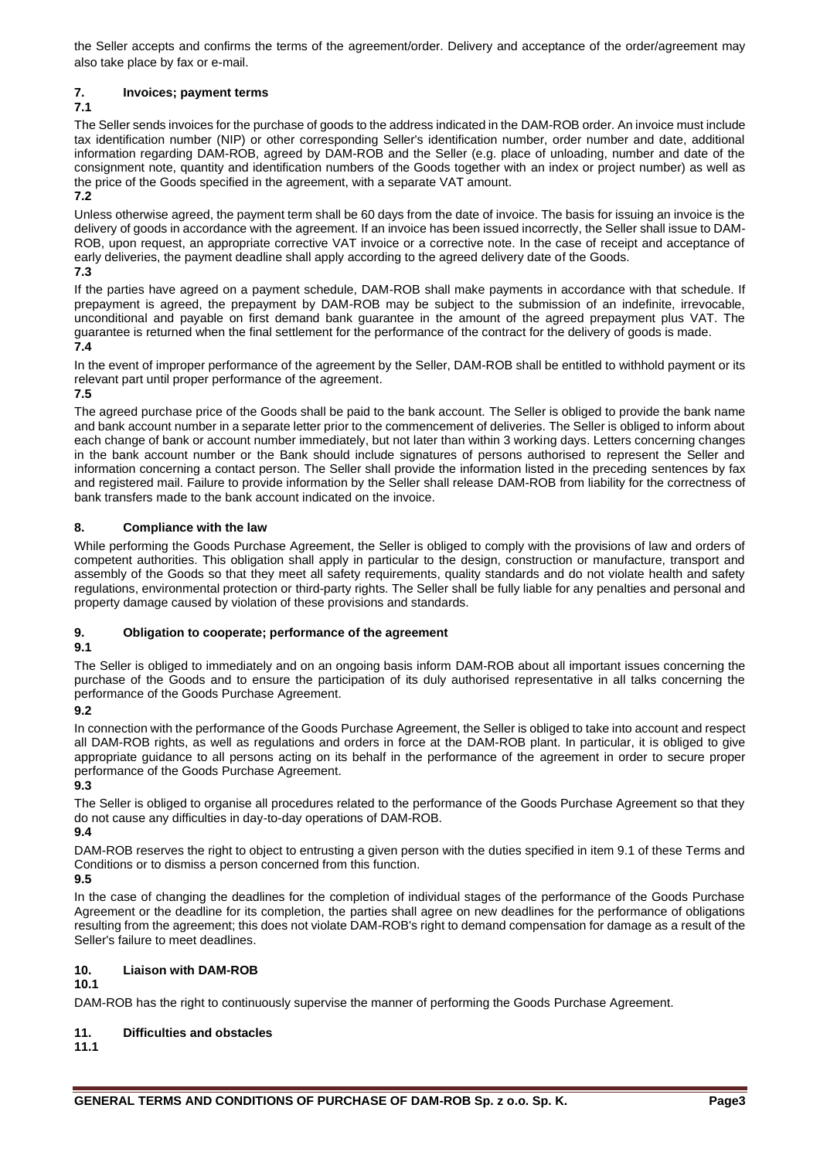the Seller accepts and confirms the terms of the agreement/order. Delivery and acceptance of the order/agreement may also take place by fax or e-mail.

## **7. Invoices; payment terms**

## **7.1**

The Seller sends invoices for the purchase of goods to the address indicated in the DAM-ROB order. An invoice must include tax identification number (NIP) or other corresponding Seller's identification number, order number and date, additional information regarding DAM-ROB, agreed by DAM-ROB and the Seller (e.g. place of unloading, number and date of the consignment note, quantity and identification numbers of the Goods together with an index or project number) as well as the price of the Goods specified in the agreement, with a separate VAT amount.

**7.2**

Unless otherwise agreed, the payment term shall be 60 days from the date of invoice. The basis for issuing an invoice is the delivery of goods in accordance with the agreement. If an invoice has been issued incorrectly, the Seller shall issue to DAM-ROB, upon request, an appropriate corrective VAT invoice or a corrective note. In the case of receipt and acceptance of early deliveries, the payment deadline shall apply according to the agreed delivery date of the Goods. **7.3**

If the parties have agreed on a payment schedule, DAM-ROB shall make payments in accordance with that schedule. If prepayment is agreed, the prepayment by DAM-ROB may be subject to the submission of an indefinite, irrevocable, unconditional and payable on first demand bank guarantee in the amount of the agreed prepayment plus VAT. The guarantee is returned when the final settlement for the performance of the contract for the delivery of goods is made. **7.4**

In the event of improper performance of the agreement by the Seller, DAM-ROB shall be entitled to withhold payment or its relevant part until proper performance of the agreement.

## **7.5**

The agreed purchase price of the Goods shall be paid to the bank account. The Seller is obliged to provide the bank name and bank account number in a separate letter prior to the commencement of deliveries. The Seller is obliged to inform about each change of bank or account number immediately, but not later than within 3 working days. Letters concerning changes in the bank account number or the Bank should include signatures of persons authorised to represent the Seller and information concerning a contact person. The Seller shall provide the information listed in the preceding sentences by fax and registered mail. Failure to provide information by the Seller shall release DAM-ROB from liability for the correctness of bank transfers made to the bank account indicated on the invoice.

## **8. Compliance with the law**

While performing the Goods Purchase Agreement, the Seller is obliged to comply with the provisions of law and orders of competent authorities. This obligation shall apply in particular to the design, construction or manufacture, transport and assembly of the Goods so that they meet all safety requirements, quality standards and do not violate health and safety regulations, environmental protection or third-party rights. The Seller shall be fully liable for any penalties and personal and property damage caused by violation of these provisions and standards.

## **9. Obligation to cooperate; performance of the agreement**

### **9.1**

The Seller is obliged to immediately and on an ongoing basis inform DAM-ROB about all important issues concerning the purchase of the Goods and to ensure the participation of its duly authorised representative in all talks concerning the performance of the Goods Purchase Agreement.

## **9.2**

In connection with the performance of the Goods Purchase Agreement, the Seller is obliged to take into account and respect all DAM-ROB rights, as well as regulations and orders in force at the DAM-ROB plant. In particular, it is obliged to give appropriate guidance to all persons acting on its behalf in the performance of the agreement in order to secure proper performance of the Goods Purchase Agreement.

**9.3**

The Seller is obliged to organise all procedures related to the performance of the Goods Purchase Agreement so that they do not cause any difficulties in day-to-day operations of DAM-ROB.

## **9.4**

DAM-ROB reserves the right to object to entrusting a given person with the duties specified in item 9.1 of these Terms and Conditions or to dismiss a person concerned from this function.

## **9.5**

In the case of changing the deadlines for the completion of individual stages of the performance of the Goods Purchase Agreement or the deadline for its completion, the parties shall agree on new deadlines for the performance of obligations resulting from the agreement; this does not violate DAM-ROB's right to demand compensation for damage as a result of the Seller's failure to meet deadlines.

## **10. Liaison with DAM-ROB**

**10.1**

DAM-ROB has the right to continuously supervise the manner of performing the Goods Purchase Agreement.

## **11. Difficulties and obstacles**

**11.1**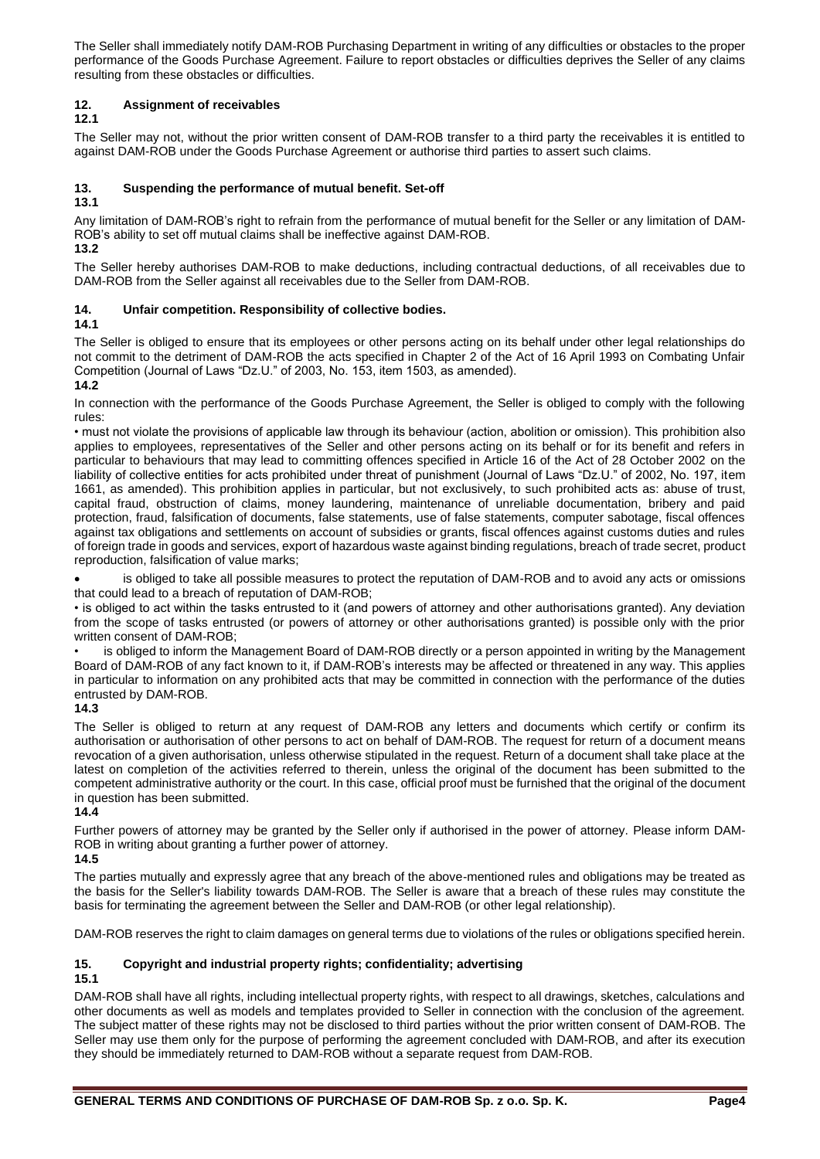The Seller shall immediately notify DAM-ROB Purchasing Department in writing of any difficulties or obstacles to the proper performance of the Goods Purchase Agreement. Failure to report obstacles or difficulties deprives the Seller of any claims resulting from these obstacles or difficulties.

## **12. Assignment of receivables**

**12.1**

The Seller may not, without the prior written consent of DAM-ROB transfer to a third party the receivables it is entitled to against DAM-ROB under the Goods Purchase Agreement or authorise third parties to assert such claims.

## **13. Suspending the performance of mutual benefit. Set-off**

## **13.1**

Any limitation of DAM-ROB's right to refrain from the performance of mutual benefit for the Seller or any limitation of DAM-ROB's ability to set off mutual claims shall be ineffective against DAM-ROB. **13.2**

The Seller hereby authorises DAM-ROB to make deductions, including contractual deductions, of all receivables due to DAM-ROB from the Seller against all receivables due to the Seller from DAM-ROB.

## **14. Unfair competition. Responsibility of collective bodies.**

**14.1**

The Seller is obliged to ensure that its employees or other persons acting on its behalf under other legal relationships do not commit to the detriment of DAM-ROB the acts specified in Chapter 2 of the Act of 16 April 1993 on Combating Unfair Competition (Journal of Laws "Dz.U." of 2003, No. 153, item 1503, as amended).

## **14.2**

In connection with the performance of the Goods Purchase Agreement, the Seller is obliged to comply with the following rules:

• must not violate the provisions of applicable law through its behaviour (action, abolition or omission). This prohibition also applies to employees, representatives of the Seller and other persons acting on its behalf or for its benefit and refers in particular to behaviours that may lead to committing offences specified in Article 16 of the Act of 28 October 2002 on the liability of collective entities for acts prohibited under threat of punishment (Journal of Laws "Dz.U." of 2002, No. 197, item 1661, as amended). This prohibition applies in particular, but not exclusively, to such prohibited acts as: abuse of trust, capital fraud, obstruction of claims, money laundering, maintenance of unreliable documentation, bribery and paid protection, fraud, falsification of documents, false statements, use of false statements, computer sabotage, fiscal offences against tax obligations and settlements on account of subsidies or grants, fiscal offences against customs duties and rules of foreign trade in goods and services, export of hazardous waste against binding regulations, breach of trade secret, product reproduction, falsification of value marks;

is obliged to take all possible measures to protect the reputation of DAM-ROB and to avoid any acts or omissions that could lead to a breach of reputation of DAM-ROB;

• is obliged to act within the tasks entrusted to it (and powers of attorney and other authorisations granted). Any deviation from the scope of tasks entrusted (or powers of attorney or other authorisations granted) is possible only with the prior written consent of DAM-ROB;

is obliged to inform the Management Board of DAM-ROB directly or a person appointed in writing by the Management Board of DAM-ROB of any fact known to it, if DAM-ROB's interests may be affected or threatened in any way. This applies in particular to information on any prohibited acts that may be committed in connection with the performance of the duties entrusted by DAM-ROB.

## **14.3**

The Seller is obliged to return at any request of DAM-ROB any letters and documents which certify or confirm its authorisation or authorisation of other persons to act on behalf of DAM-ROB. The request for return of a document means revocation of a given authorisation, unless otherwise stipulated in the request. Return of a document shall take place at the latest on completion of the activities referred to therein, unless the original of the document has been submitted to the competent administrative authority or the court. In this case, official proof must be furnished that the original of the document in question has been submitted.

## **14.4**

Further powers of attorney may be granted by the Seller only if authorised in the power of attorney. Please inform DAM-ROB in writing about granting a further power of attorney.

## **14.5**

The parties mutually and expressly agree that any breach of the above-mentioned rules and obligations may be treated as the basis for the Seller's liability towards DAM-ROB. The Seller is aware that a breach of these rules may constitute the basis for terminating the agreement between the Seller and DAM-ROB (or other legal relationship).

DAM-ROB reserves the right to claim damages on general terms due to violations of the rules or obligations specified herein.

## **15. Copyright and industrial property rights; confidentiality; advertising**

# **15.1**

DAM-ROB shall have all rights, including intellectual property rights, with respect to all drawings, sketches, calculations and other documents as well as models and templates provided to Seller in connection with the conclusion of the agreement. The subject matter of these rights may not be disclosed to third parties without the prior written consent of DAM-ROB. The Seller may use them only for the purpose of performing the agreement concluded with DAM-ROB, and after its execution they should be immediately returned to DAM-ROB without a separate request from DAM-ROB.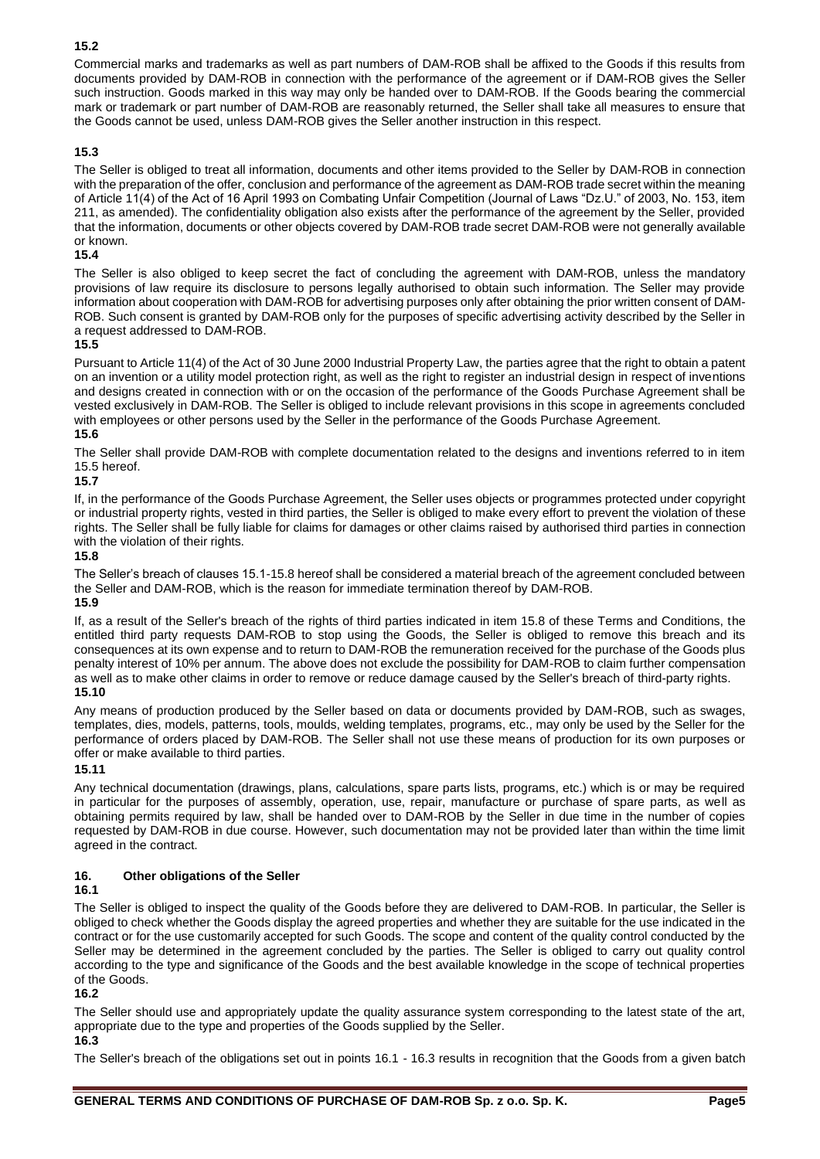## **15.2**

Commercial marks and trademarks as well as part numbers of DAM-ROB shall be affixed to the Goods if this results from documents provided by DAM-ROB in connection with the performance of the agreement or if DAM-ROB gives the Seller such instruction. Goods marked in this way may only be handed over to DAM-ROB. If the Goods bearing the commercial mark or trademark or part number of DAM-ROB are reasonably returned, the Seller shall take all measures to ensure that the Goods cannot be used, unless DAM-ROB gives the Seller another instruction in this respect.

## **15.3**

The Seller is obliged to treat all information, documents and other items provided to the Seller by DAM-ROB in connection with the preparation of the offer, conclusion and performance of the agreement as DAM-ROB trade secret within the meaning of Article 11(4) of the Act of 16 April 1993 on Combating Unfair Competition (Journal of Laws "Dz.U." of 2003, No. 153, item 211, as amended). The confidentiality obligation also exists after the performance of the agreement by the Seller, provided that the information, documents or other objects covered by DAM-ROB trade secret DAM-ROB were not generally available or known.

## **15.4**

The Seller is also obliged to keep secret the fact of concluding the agreement with DAM-ROB, unless the mandatory provisions of law require its disclosure to persons legally authorised to obtain such information. The Seller may provide information about cooperation with DAM-ROB for advertising purposes only after obtaining the prior written consent of DAM-ROB. Such consent is granted by DAM-ROB only for the purposes of specific advertising activity described by the Seller in a request addressed to DAM-ROB.

#### **15.5**

Pursuant to Article 11(4) of the Act of 30 June 2000 Industrial Property Law, the parties agree that the right to obtain a patent on an invention or a utility model protection right, as well as the right to register an industrial design in respect of inventions and designs created in connection with or on the occasion of the performance of the Goods Purchase Agreement shall be vested exclusively in DAM-ROB. The Seller is obliged to include relevant provisions in this scope in agreements concluded with employees or other persons used by the Seller in the performance of the Goods Purchase Agreement.

## **15.6**

The Seller shall provide DAM-ROB with complete documentation related to the designs and inventions referred to in item 15.5 hereof.

## **15.7**

If, in the performance of the Goods Purchase Agreement, the Seller uses objects or programmes protected under copyright or industrial property rights, vested in third parties, the Seller is obliged to make every effort to prevent the violation of these rights. The Seller shall be fully liable for claims for damages or other claims raised by authorised third parties in connection with the violation of their rights.

#### **15.8**

The Seller's breach of clauses 15.1-15.8 hereof shall be considered a material breach of the agreement concluded between the Seller and DAM-ROB, which is the reason for immediate termination thereof by DAM-ROB. **15.9**

If, as a result of the Seller's breach of the rights of third parties indicated in item 15.8 of these Terms and Conditions, the entitled third party requests DAM-ROB to stop using the Goods, the Seller is obliged to remove this breach and its consequences at its own expense and to return to DAM-ROB the remuneration received for the purchase of the Goods plus penalty interest of 10% per annum. The above does not exclude the possibility for DAM-ROB to claim further compensation as well as to make other claims in order to remove or reduce damage caused by the Seller's breach of third-party rights. **15.10**

Any means of production produced by the Seller based on data or documents provided by DAM-ROB, such as swages, templates, dies, models, patterns, tools, moulds, welding templates, programs, etc., may only be used by the Seller for the performance of orders placed by DAM-ROB. The Seller shall not use these means of production for its own purposes or offer or make available to third parties.

#### **15.11**

Any technical documentation (drawings, plans, calculations, spare parts lists, programs, etc.) which is or may be required in particular for the purposes of assembly, operation, use, repair, manufacture or purchase of spare parts, as well as obtaining permits required by law, shall be handed over to DAM-ROB by the Seller in due time in the number of copies requested by DAM-ROB in due course. However, such documentation may not be provided later than within the time limit agreed in the contract.

## **16. Other obligations of the Seller**

#### **16.1**

The Seller is obliged to inspect the quality of the Goods before they are delivered to DAM-ROB. In particular, the Seller is obliged to check whether the Goods display the agreed properties and whether they are suitable for the use indicated in the contract or for the use customarily accepted for such Goods. The scope and content of the quality control conducted by the Seller may be determined in the agreement concluded by the parties. The Seller is obliged to carry out quality control according to the type and significance of the Goods and the best available knowledge in the scope of technical properties of the Goods.

## **16.2**

The Seller should use and appropriately update the quality assurance system corresponding to the latest state of the art, appropriate due to the type and properties of the Goods supplied by the Seller. **16.3**

The Seller's breach of the obligations set out in points 16.1 - 16.3 results in recognition that the Goods from a given batch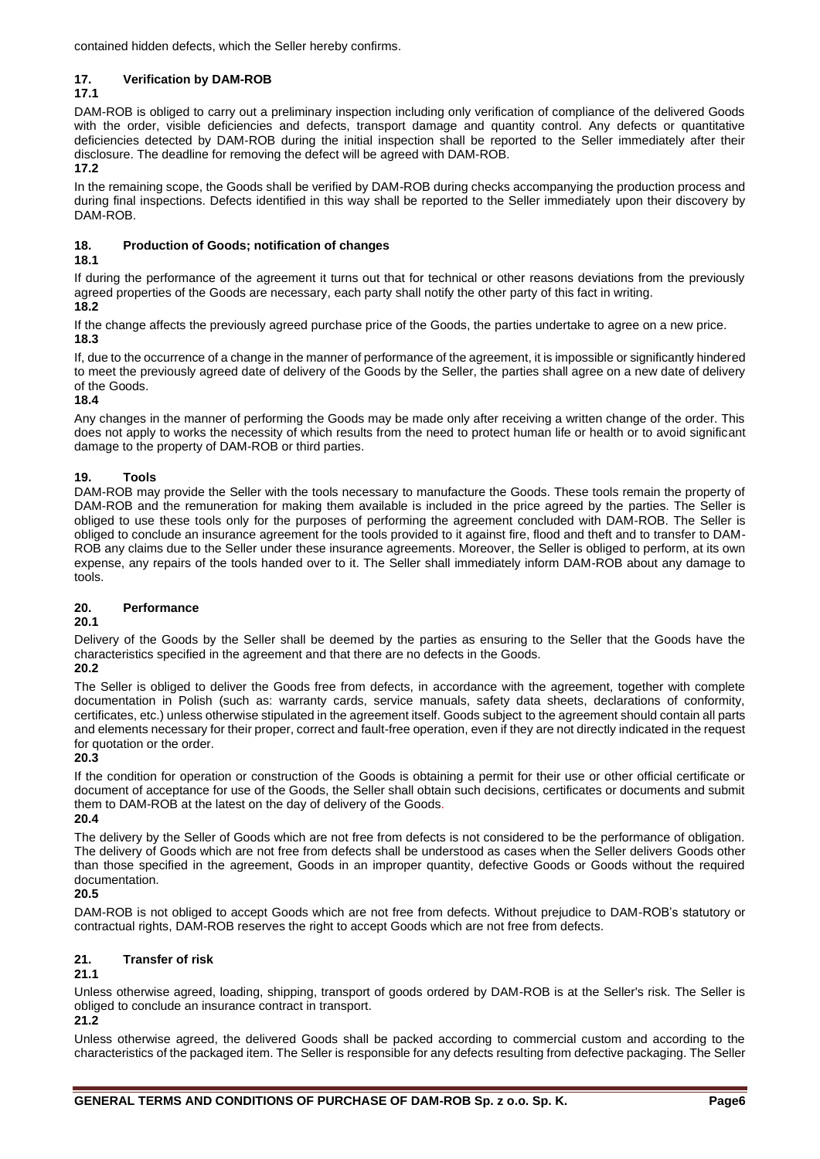contained hidden defects, which the Seller hereby confirms.

## **17. Verification by DAM-ROB**

## **17.1**

DAM-ROB is obliged to carry out a preliminary inspection including only verification of compliance of the delivered Goods with the order, visible deficiencies and defects, transport damage and quantity control. Any defects or quantitative deficiencies detected by DAM-ROB during the initial inspection shall be reported to the Seller immediately after their disclosure. The deadline for removing the defect will be agreed with DAM-ROB. **17.2**

In the remaining scope, the Goods shall be verified by DAM-ROB during checks accompanying the production process and during final inspections. Defects identified in this way shall be reported to the Seller immediately upon their discovery by DAM-ROB.

## **18. Production of Goods; notification of changes**

## **18.1**

If during the performance of the agreement it turns out that for technical or other reasons deviations from the previously agreed properties of the Goods are necessary, each party shall notify the other party of this fact in writing.

## **18.2**

If the change affects the previously agreed purchase price of the Goods, the parties undertake to agree on a new price. **18.3**

If, due to the occurrence of a change in the manner of performance of the agreement, it is impossible or significantly hindered to meet the previously agreed date of delivery of the Goods by the Seller, the parties shall agree on a new date of delivery of the Goods.

**18.4**

Any changes in the manner of performing the Goods may be made only after receiving a written change of the order. This does not apply to works the necessity of which results from the need to protect human life or health or to avoid significant damage to the property of DAM-ROB or third parties.

## **19. Tools**

DAM-ROB may provide the Seller with the tools necessary to manufacture the Goods. These tools remain the property of DAM-ROB and the remuneration for making them available is included in the price agreed by the parties. The Seller is obliged to use these tools only for the purposes of performing the agreement concluded with DAM-ROB. The Seller is obliged to conclude an insurance agreement for the tools provided to it against fire, flood and theft and to transfer to DAM-ROB any claims due to the Seller under these insurance agreements. Moreover, the Seller is obliged to perform, at its own expense, any repairs of the tools handed over to it. The Seller shall immediately inform DAM-ROB about any damage to tools.

## **20. Performance**

## **20.1**

Delivery of the Goods by the Seller shall be deemed by the parties as ensuring to the Seller that the Goods have the characteristics specified in the agreement and that there are no defects in the Goods.

# **20.2**

The Seller is obliged to deliver the Goods free from defects, in accordance with the agreement, together with complete documentation in Polish (such as: warranty cards, service manuals, safety data sheets, declarations of conformity, certificates, etc.) unless otherwise stipulated in the agreement itself. Goods subject to the agreement should contain all parts and elements necessary for their proper, correct and fault-free operation, even if they are not directly indicated in the request for quotation or the order.

**20.3**

If the condition for operation or construction of the Goods is obtaining a permit for their use or other official certificate or document of acceptance for use of the Goods, the Seller shall obtain such decisions, certificates or documents and submit them to DAM-ROB at the latest on the day of delivery of the Goods.

**20.4**

The delivery by the Seller of Goods which are not free from defects is not considered to be the performance of obligation. The delivery of Goods which are not free from defects shall be understood as cases when the Seller delivers Goods other than those specified in the agreement, Goods in an improper quantity, defective Goods or Goods without the required documentation.

## **20.5**

DAM-ROB is not obliged to accept Goods which are not free from defects. Without prejudice to DAM-ROB's statutory or contractual rights, DAM-ROB reserves the right to accept Goods which are not free from defects.

## **21. Transfer of risk**

## **21.1**

Unless otherwise agreed, loading, shipping, transport of goods ordered by DAM-ROB is at the Seller's risk. The Seller is obliged to conclude an insurance contract in transport.

## **21.2**

Unless otherwise agreed, the delivered Goods shall be packed according to commercial custom and according to the characteristics of the packaged item. The Seller is responsible for any defects resulting from defective packaging. The Seller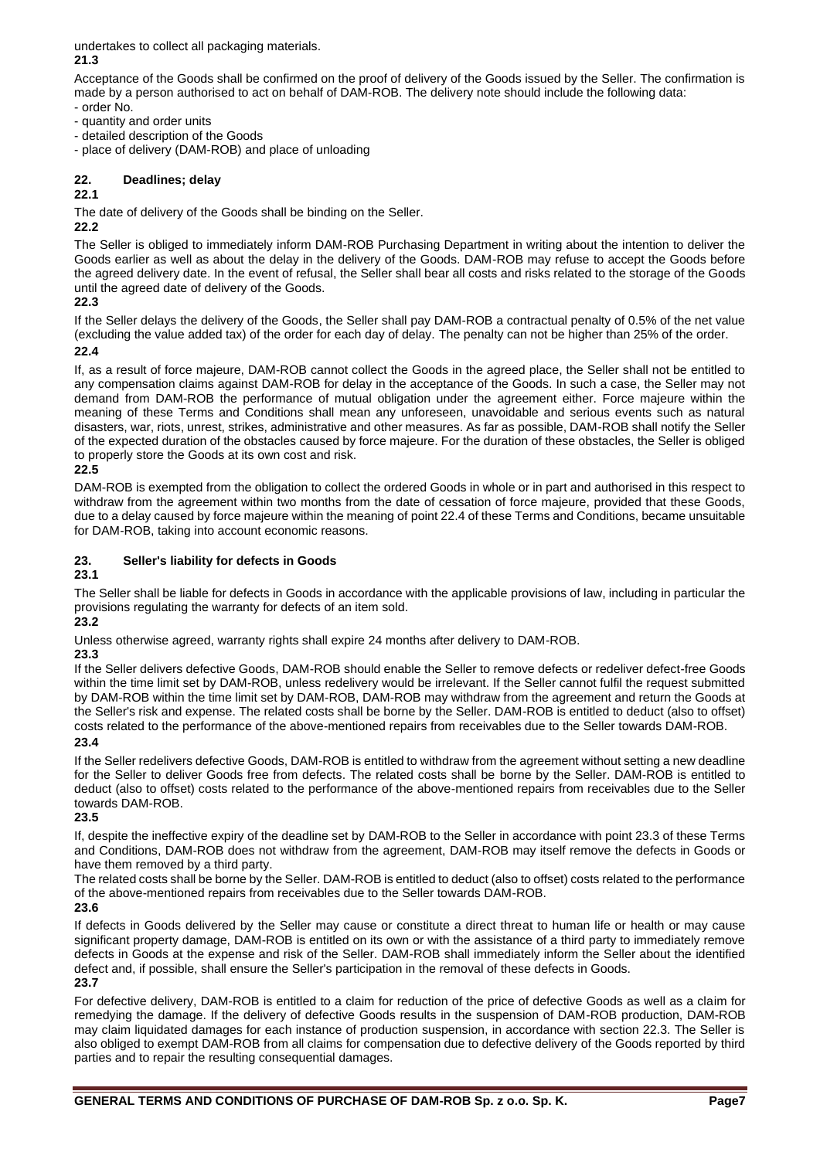undertakes to collect all packaging materials. **21.3**

Acceptance of the Goods shall be confirmed on the proof of delivery of the Goods issued by the Seller. The confirmation is made by a person authorised to act on behalf of DAM-ROB. The delivery note should include the following data:

- order No.
- quantity and order units
- detailed description of the Goods
- place of delivery (DAM-ROB) and place of unloading

## **22. Deadlines; delay**

# **22.1**

The date of delivery of the Goods shall be binding on the Seller.

## **22.2**

The Seller is obliged to immediately inform DAM-ROB Purchasing Department in writing about the intention to deliver the Goods earlier as well as about the delay in the delivery of the Goods. DAM-ROB may refuse to accept the Goods before the agreed delivery date. In the event of refusal, the Seller shall bear all costs and risks related to the storage of the Goods until the agreed date of delivery of the Goods.

**22.3**

If the Seller delays the delivery of the Goods, the Seller shall pay DAM-ROB a contractual penalty of 0.5% of the net value (excluding the value added tax) of the order for each day of delay. The penalty can not be higher than 25% of the order.

## **22.4**

If, as a result of force majeure, DAM-ROB cannot collect the Goods in the agreed place, the Seller shall not be entitled to any compensation claims against DAM-ROB for delay in the acceptance of the Goods. In such a case, the Seller may not demand from DAM-ROB the performance of mutual obligation under the agreement either. Force majeure within the meaning of these Terms and Conditions shall mean any unforeseen, unavoidable and serious events such as natural disasters, war, riots, unrest, strikes, administrative and other measures. As far as possible, DAM-ROB shall notify the Seller of the expected duration of the obstacles caused by force majeure. For the duration of these obstacles, the Seller is obliged to properly store the Goods at its own cost and risk.

## **22.5**

DAM-ROB is exempted from the obligation to collect the ordered Goods in whole or in part and authorised in this respect to withdraw from the agreement within two months from the date of cessation of force majeure, provided that these Goods, due to a delay caused by force majeure within the meaning of point 22.4 of these Terms and Conditions, became unsuitable for DAM-ROB, taking into account economic reasons.

## **23. Seller's liability for defects in Goods**

## **23.1**

The Seller shall be liable for defects in Goods in accordance with the applicable provisions of law, including in particular the provisions regulating the warranty for defects of an item sold.

**23.2**

Unless otherwise agreed, warranty rights shall expire 24 months after delivery to DAM-ROB.

## **23.3**

If the Seller delivers defective Goods, DAM-ROB should enable the Seller to remove defects or redeliver defect-free Goods within the time limit set by DAM-ROB, unless redelivery would be irrelevant. If the Seller cannot fulfil the request submitted by DAM-ROB within the time limit set by DAM-ROB, DAM-ROB may withdraw from the agreement and return the Goods at the Seller's risk and expense. The related costs shall be borne by the Seller. DAM-ROB is entitled to deduct (also to offset) costs related to the performance of the above-mentioned repairs from receivables due to the Seller towards DAM-ROB.

## **23.4**

If the Seller redelivers defective Goods, DAM-ROB is entitled to withdraw from the agreement without setting a new deadline for the Seller to deliver Goods free from defects. The related costs shall be borne by the Seller. DAM-ROB is entitled to deduct (also to offset) costs related to the performance of the above-mentioned repairs from receivables due to the Seller towards DAM-ROB.

## **23.5**

If, despite the ineffective expiry of the deadline set by DAM-ROB to the Seller in accordance with point 23.3 of these Terms and Conditions, DAM-ROB does not withdraw from the agreement, DAM-ROB may itself remove the defects in Goods or have them removed by a third party.

The related costs shall be borne by the Seller. DAM-ROB is entitled to deduct (also to offset) costs related to the performance of the above-mentioned repairs from receivables due to the Seller towards DAM-ROB.

## **23.6**

If defects in Goods delivered by the Seller may cause or constitute a direct threat to human life or health or may cause significant property damage, DAM-ROB is entitled on its own or with the assistance of a third party to immediately remove defects in Goods at the expense and risk of the Seller. DAM-ROB shall immediately inform the Seller about the identified defect and, if possible, shall ensure the Seller's participation in the removal of these defects in Goods.

## **23.7**

For defective delivery, DAM-ROB is entitled to a claim for reduction of the price of defective Goods as well as a claim for remedying the damage. If the delivery of defective Goods results in the suspension of DAM-ROB production, DAM-ROB may claim liquidated damages for each instance of production suspension, in accordance with section 22.3. The Seller is also obliged to exempt DAM-ROB from all claims for compensation due to defective delivery of the Goods reported by third parties and to repair the resulting consequential damages.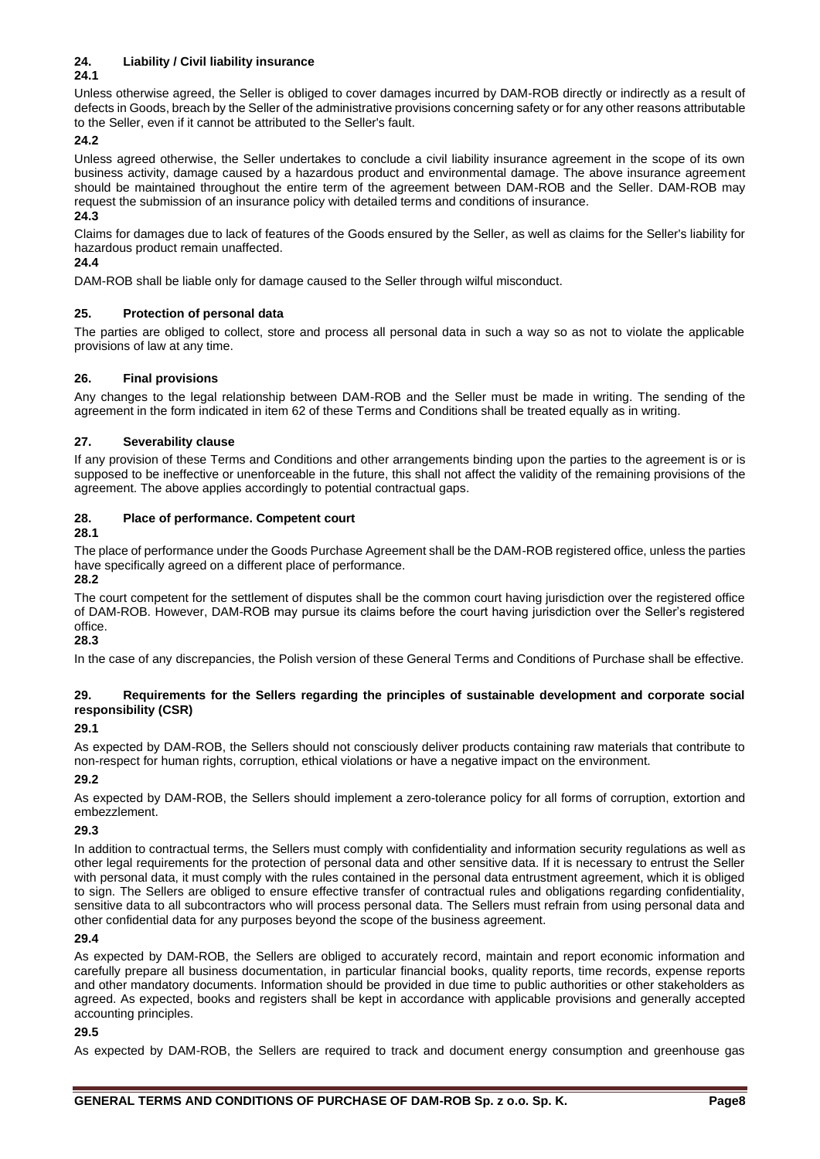## **24. Liability / Civil liability insurance**

## **24.1**

Unless otherwise agreed, the Seller is obliged to cover damages incurred by DAM-ROB directly or indirectly as a result of defects in Goods, breach by the Seller of the administrative provisions concerning safety or for any other reasons attributable to the Seller, even if it cannot be attributed to the Seller's fault.

## **24.2**

Unless agreed otherwise, the Seller undertakes to conclude a civil liability insurance agreement in the scope of its own business activity, damage caused by a hazardous product and environmental damage. The above insurance agreement should be maintained throughout the entire term of the agreement between DAM-ROB and the Seller. DAM-ROB may request the submission of an insurance policy with detailed terms and conditions of insurance.

## **24.3**

Claims for damages due to lack of features of the Goods ensured by the Seller, as well as claims for the Seller's liability for hazardous product remain unaffected.

## **24.4**

DAM-ROB shall be liable only for damage caused to the Seller through wilful misconduct.

## **25. Protection of personal data**

The parties are obliged to collect, store and process all personal data in such a way so as not to violate the applicable provisions of law at any time.

## **26. Final provisions**

Any changes to the legal relationship between DAM-ROB and the Seller must be made in writing. The sending of the agreement in the form indicated in item 62 of these Terms and Conditions shall be treated equally as in writing.

## **27. Severability clause**

If any provision of these Terms and Conditions and other arrangements binding upon the parties to the agreement is or is supposed to be ineffective or unenforceable in the future, this shall not affect the validity of the remaining provisions of the agreement. The above applies accordingly to potential contractual gaps.

## **28. Place of performance. Competent court**

**28.1**

The place of performance under the Goods Purchase Agreement shall be the DAM-ROB registered office, unless the parties have specifically agreed on a different place of performance.

**28.2**

The court competent for the settlement of disputes shall be the common court having jurisdiction over the registered office of DAM-ROB. However, DAM-ROB may pursue its claims before the court having jurisdiction over the Seller's registered office.

**28.3**

In the case of any discrepancies, the Polish version of these General Terms and Conditions of Purchase shall be effective.

## **29. Requirements for the Sellers regarding the principles of sustainable development and corporate social responsibility (CSR)**

## **29.1**

As expected by DAM-ROB, the Sellers should not consciously deliver products containing raw materials that contribute to non-respect for human rights, corruption, ethical violations or have a negative impact on the environment.

## **29.2**

As expected by DAM-ROB, the Sellers should implement a zero-tolerance policy for all forms of corruption, extortion and embezzlement.

## **29.3**

In addition to contractual terms, the Sellers must comply with confidentiality and information security regulations as well as other legal requirements for the protection of personal data and other sensitive data. If it is necessary to entrust the Seller with personal data, it must comply with the rules contained in the personal data entrustment agreement, which it is obliged to sign. The Sellers are obliged to ensure effective transfer of contractual rules and obligations regarding confidentiality, sensitive data to all subcontractors who will process personal data. The Sellers must refrain from using personal data and other confidential data for any purposes beyond the scope of the business agreement.

## **29.4**

As expected by DAM-ROB, the Sellers are obliged to accurately record, maintain and report economic information and carefully prepare all business documentation, in particular financial books, quality reports, time records, expense reports and other mandatory documents. Information should be provided in due time to public authorities or other stakeholders as agreed. As expected, books and registers shall be kept in accordance with applicable provisions and generally accepted accounting principles.

## **29.5**

As expected by DAM-ROB, the Sellers are required to track and document energy consumption and greenhouse gas